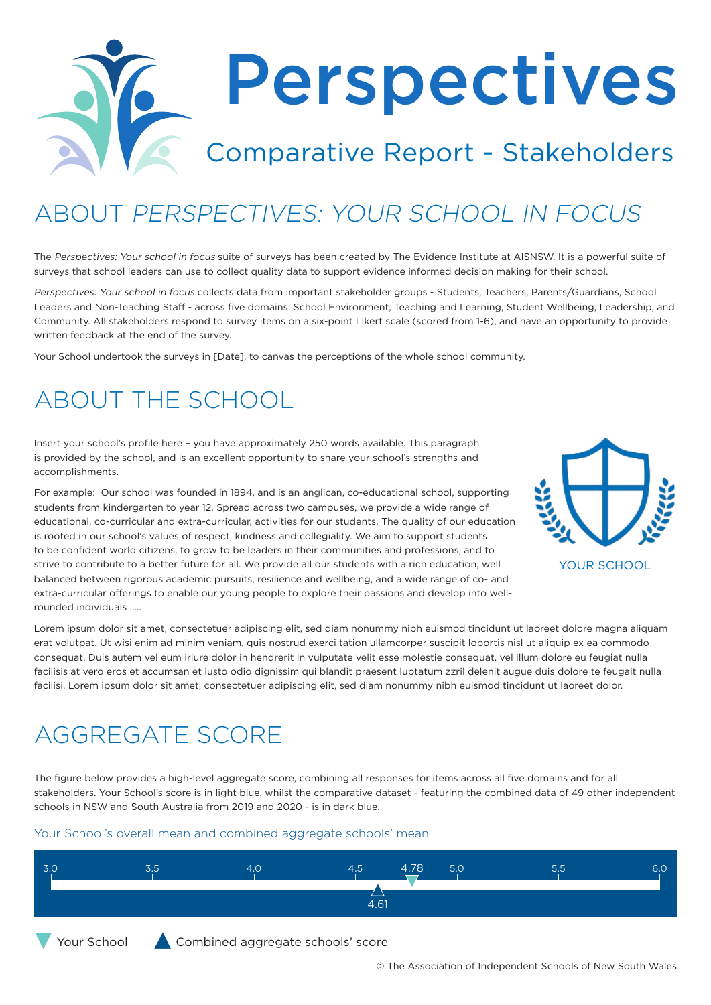# Perspectives Comparative Report - Stakeholders

## ABOUT PERSPECTIVES: YOUR SCHOOL IN FOCUS

The Perspectives: Your school in focus suite of surveys has been created by The Evidence Institute at AISNSW. It is a powerful suite of surveys that school leaders can use to collect quality data to support evidence informed decision making for their school.

Perspectives: Your school in focus collects data from important stakeholder groups - Students, Teachers, Parents/Guardians, School Leaders and Non-Teaching Staff - across five domains: School Environment, Teaching and Learning, Student Wellbeing, Leadership, and Community. All stakeholders respond to survey items on a six-point Likert scale (scored from 1-6), and have an opportunity to provide written feedback at the end of the survey.

Your School undertook the surveys in [Date], to canvas the perceptions of the whole school community.

#### ABOUT THE SCHOOL

Insert your school's profile here – you have approximately 250 words available. This paragraph is provided by the school, and is an excellent opportunity to share your school's strengths and accomplishments.

For example: Our school was founded in 1894, and is an anglican, co-educational school, supporting students from kindergarten to year 12. Spread across two campuses, we provide a wide range of educational, co-curricular and extra-curricular, activities for our students. The quality of our education is rooted in our school's values of respect, kindness and collegiality. We aim to support students to be confident world citizens, to grow to be leaders in their communities and professions, and to strive to contribute to a better future for all. We provide all our students with a rich education, well balanced between rigorous academic pursuits, resilience and wellbeing, and a wide range of co- and extra-curricular offerings to enable our young people to explore their passions and develop into wellrounded individuals …..



Lorem ipsum dolor sit amet, consectetuer adipiscing elit, sed diam nonummy nibh euismod tincidunt ut laoreet dolore magna aliquam erat volutpat. Ut wisi enim ad minim veniam, quis nostrud exerci tation ullamcorper suscipit lobortis nisl ut aliquip ex ea commodo consequat. Duis autem vel eum iriure dolor in hendrerit in vulputate velit esse molestie consequat, vel illum dolore eu feugiat nulla facilisis at vero eros et accumsan et iusto odio dignissim qui blandit praesent luptatum zzril delenit augue duis dolore te feugait nulla facilisi. Lorem ipsum dolor sit amet, consectetuer adipiscing elit, sed diam nonummy nibh euismod tincidunt ut laoreet dolor.

#### AGGREGATE SCORE

The figure below provides a high-level aggregate score, combining all responses for items across all five domains and for all stakeholders. Your School's score is in light blue, whilst the comparative dataset - featuring the combined data of 49 other independent schools in NSW and South Australia from 2019 and 2020 - is in dark blue.

#### Your School's overall mean and combined aggregate schools' mean

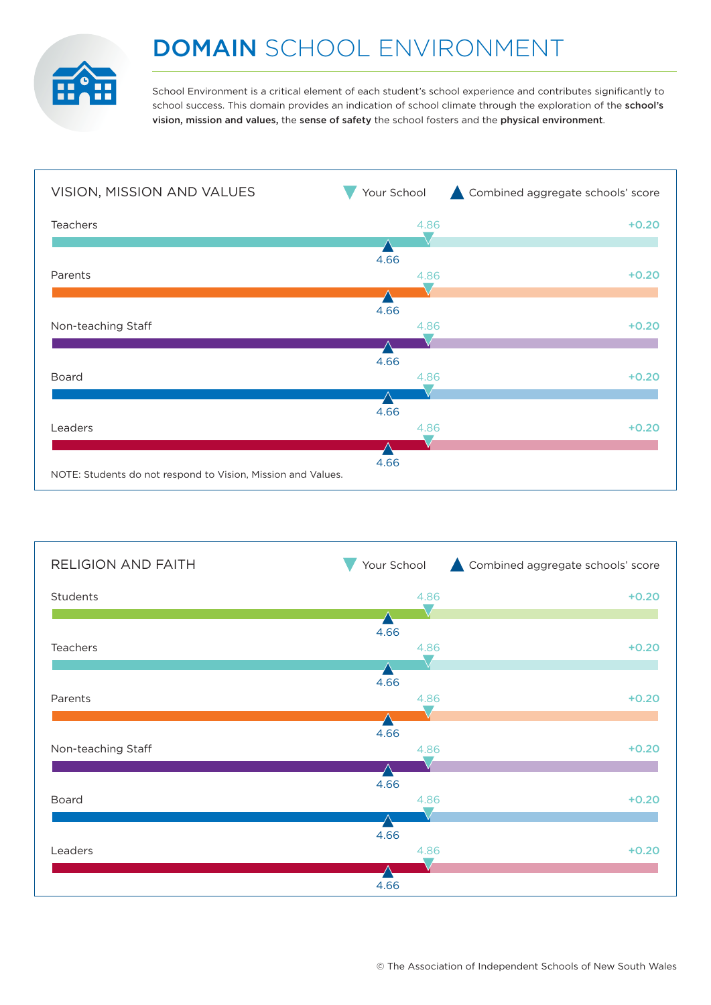

### DOMAIN SCHOOL ENVIRONMENT

School Environment is a critical element of each student's school experience and contributes significantly to school success. This domain provides an indication of school climate through the exploration of the school's vision, mission and values, the sense of safety the school fosters and the physical environment.



| <b>RELIGION AND FAITH</b> | Your School  | Combined aggregate schools' score |
|---------------------------|--------------|-----------------------------------|
| Students                  | 4.86         | $+0.20$                           |
| Teachers                  | 4.66<br>4.86 | $+0.20$                           |
|                           | 4.66         |                                   |
| Parents                   | 4.86         | $+0.20$                           |
| Non-teaching Staff        | 4.66<br>4.86 | $+0.20$                           |
| Board                     | 4.66<br>4.86 | $+0.20$                           |
| Leaders                   | 4.66<br>4.86 | $+0.20$                           |
|                           | 4.66         |                                   |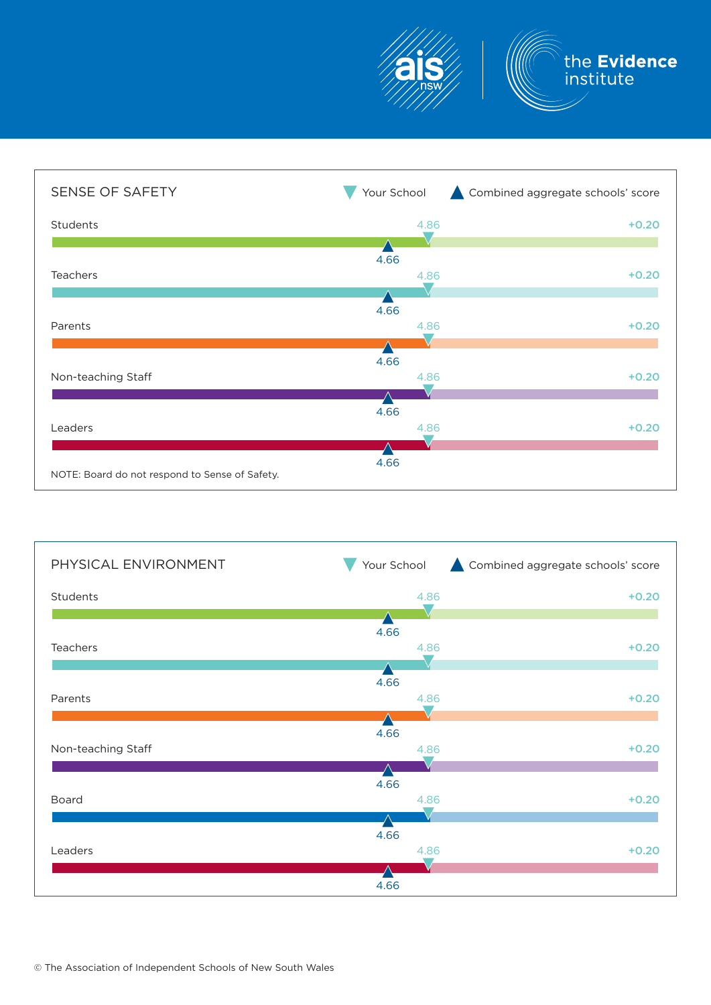

| SENSE OF SAFETY                                | Your School | Combined aggregate schools' score |
|------------------------------------------------|-------------|-----------------------------------|
| Students                                       | 4.86        | $+0.20$                           |
|                                                | 4.66        |                                   |
| <b>Teachers</b>                                | 4.86        | $+0.20$                           |
|                                                | 4.66        |                                   |
| Parents                                        | 4.86        | $+0.20$                           |
|                                                | 4.66        |                                   |
| Non-teaching Staff                             | 4.86        | $+0.20$                           |
|                                                | 4.66        |                                   |
| Leaders                                        | 4.86        | $+0.20$                           |
| NOTE: Board do not respond to Sense of Safety. | 4.66        |                                   |
|                                                |             |                                   |

| Your School | Combined aggregate schools' score            |
|-------------|----------------------------------------------|
| 4.86        | $+0.20$                                      |
| 4.66        |                                              |
|             | $+0.20$                                      |
| 4.66        | $+0.20$                                      |
|             |                                              |
| 4.86        | $+0.20$                                      |
| 4.66        |                                              |
|             | $+0.20$                                      |
| 4.66        | $+0.20$                                      |
|             |                                              |
|             | 4.86<br>4.86<br>4.66<br>4.86<br>4.86<br>4.66 |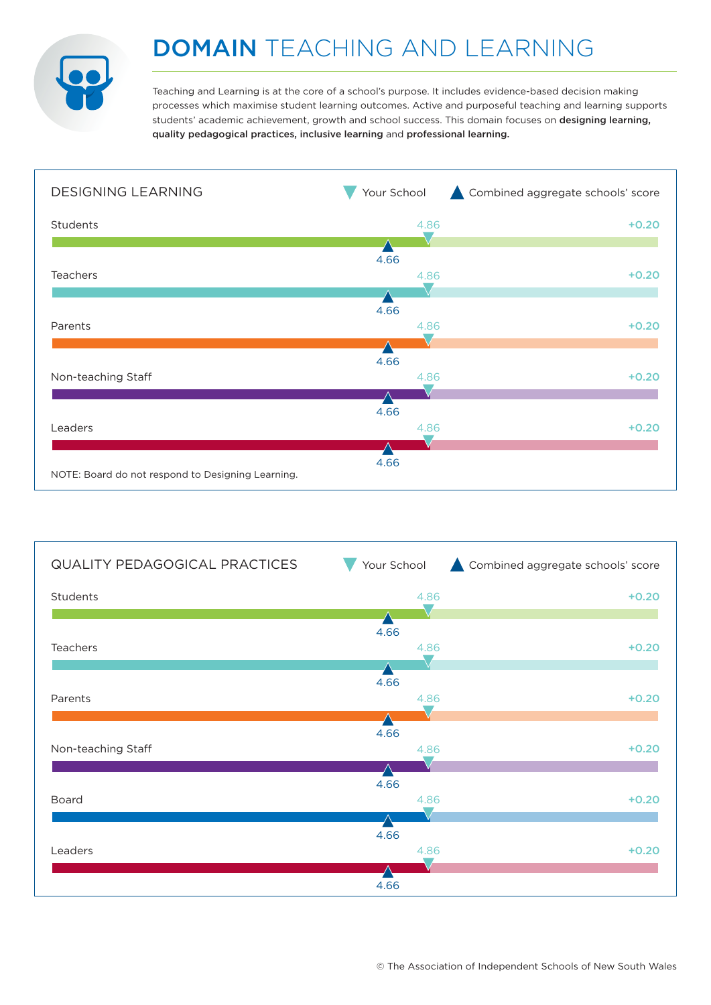

### DOMAIN TEACHING AND LEARNING

Teaching and Learning is at the core of a school's purpose. It includes evidence-based decision making processes which maximise student learning outcomes. Active and purposeful teaching and learning supports students' academic achievement, growth and school success. This domain focuses on designing learning, quality pedagogical practices, inclusive learning and professional learning.



| <b>QUALITY PEDAGOGICAL PRACTICES</b> | Your School  | Combined aggregate schools' score |
|--------------------------------------|--------------|-----------------------------------|
| Students                             | 4.86         | $+0.20$                           |
|                                      | 4.66         |                                   |
| Teachers                             | 4.86         | $+0.20$                           |
| Parents                              | 4.66<br>4.86 | $+0.20$                           |
|                                      |              |                                   |
| Non-teaching Staff                   | 4.66<br>4.86 | $+0.20$                           |
|                                      | 4.66         |                                   |
| Board                                | 4.86         | $+0.20$                           |
|                                      | 4.66         |                                   |
| Leaders                              | 4.86         | $+0.20$                           |
|                                      | 4.66         |                                   |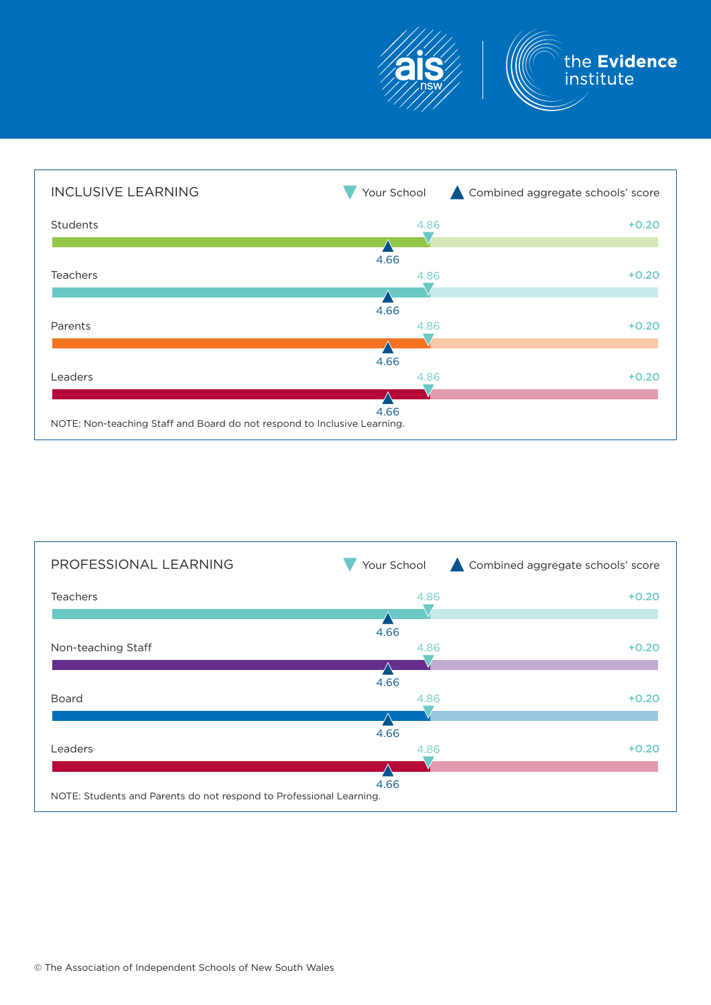



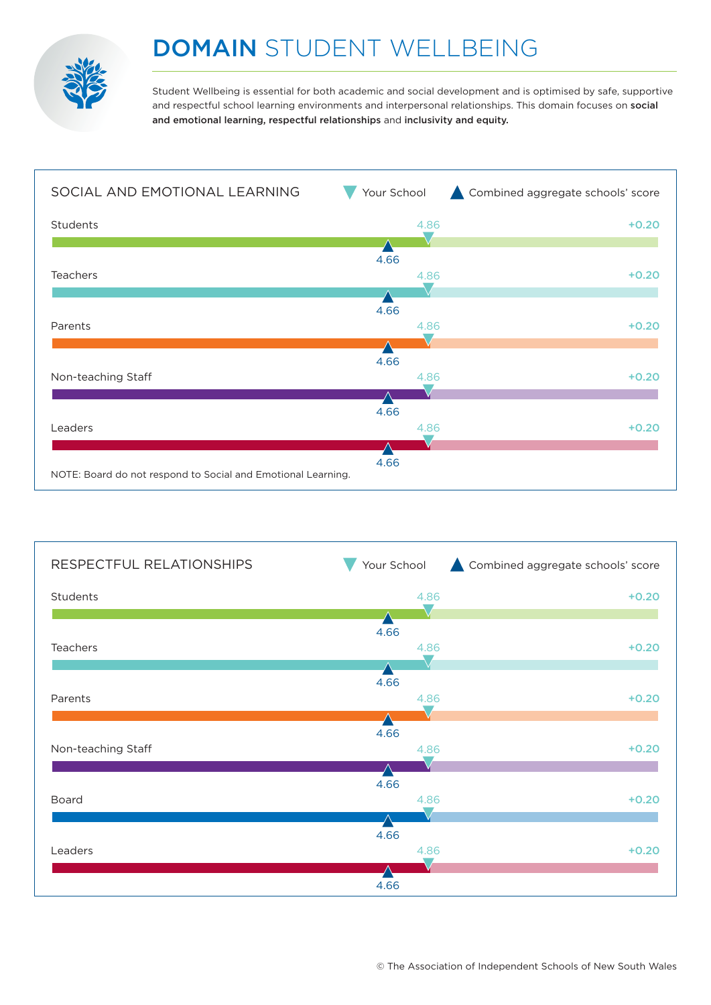

#### DOMAIN STUDENT WELLBEING

Student Wellbeing is essential for both academic and social development and is optimised by safe, supportive and respectful school learning environments and interpersonal relationships. This domain focuses on social and emotional learning, respectful relationships and inclusivity and equity.



| RESPECTFUL RELATIONSHIPS | Your School  | Combined aggregate schools' score |
|--------------------------|--------------|-----------------------------------|
| Students                 | 4.86         | $+0.20$                           |
| Teachers                 | 4.66<br>4.86 | $+0.20$                           |
|                          | 4.66         |                                   |
| Parents                  | 4.86         | $+0.20$                           |
| Non-teaching Staff       | 4.66<br>4.86 | $+0.20$                           |
| Board                    | 4.66<br>4.86 | $+0.20$                           |
|                          | 4.66         |                                   |
| Leaders                  | 4.86         | $+0.20$                           |
|                          | 4.66         |                                   |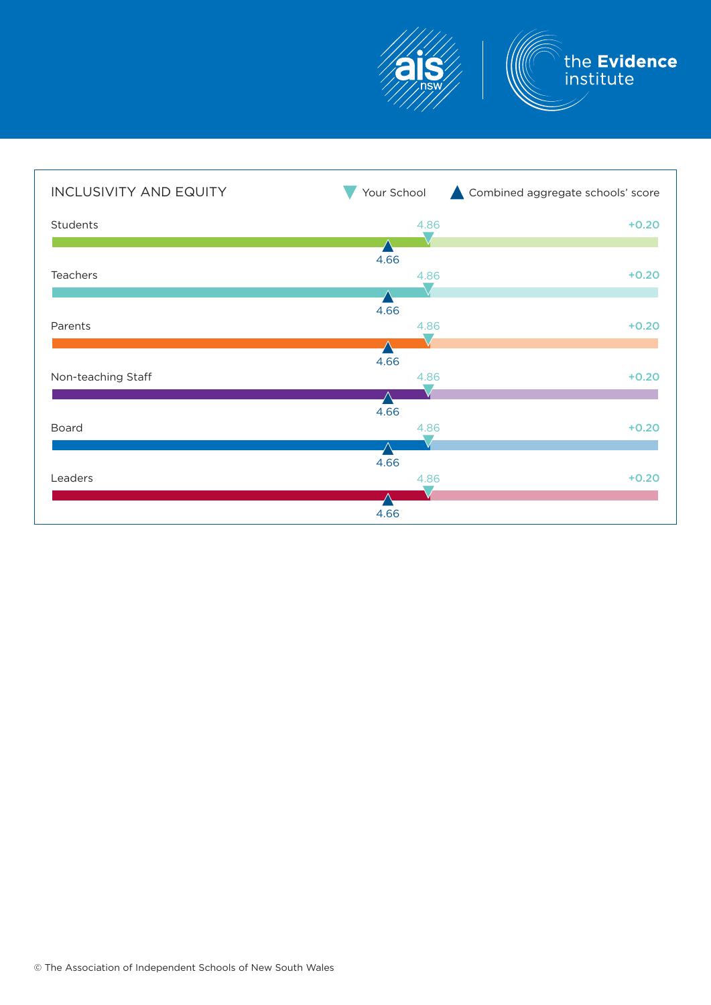

| <b>INCLUSIVITY AND EQUITY</b> | Your School  | Combined aggregate schools' score |
|-------------------------------|--------------|-----------------------------------|
| Students                      | 4.86         | $+0.20$                           |
| Teachers                      | 4.66<br>4.86 | $+0.20$                           |
|                               | 4.66         |                                   |
| Parents                       | 4.86         | $+0.20$                           |
| Non-teaching Staff            | 4.66<br>4.86 | $+0.20$                           |
| Board                         | 4.66<br>4.86 | $+0.20$                           |
| Leaders                       | 4.66<br>4.86 | $+0.20$                           |
|                               | 4.66         |                                   |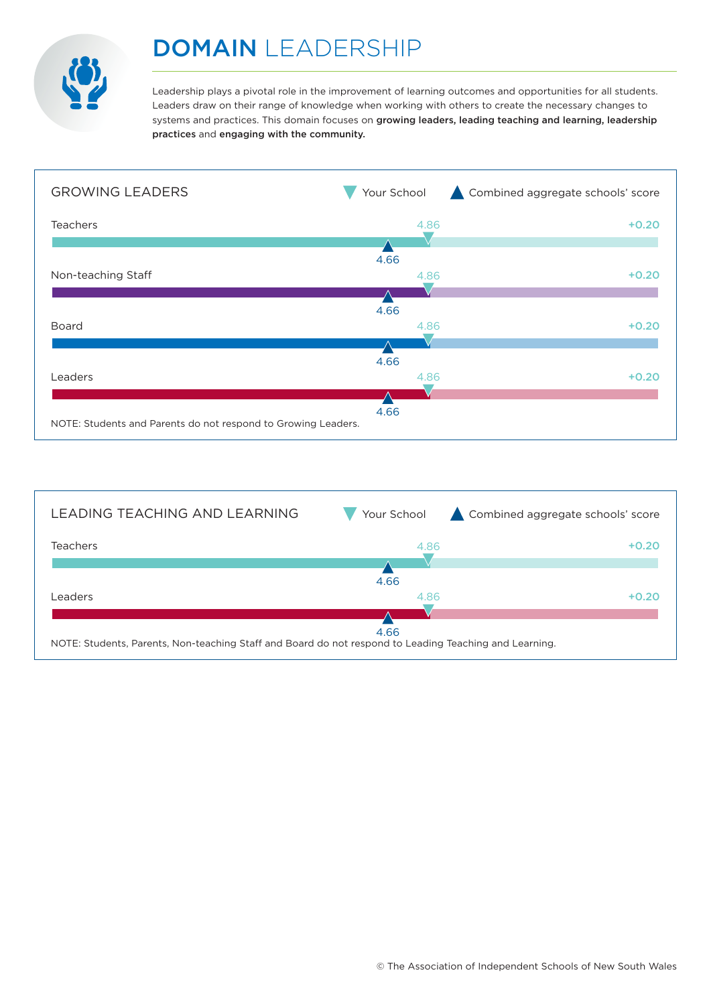

#### DOMAIN LEADERSHIP

Leadership plays a pivotal role in the improvement of learning outcomes and opportunities for all students. Leaders draw on their range of knowledge when working with others to create the necessary changes to systems and practices. This domain focuses on growing leaders, leading teaching and learning, leadership practices and engaging with the community.



| LEADING TEACHING AND LEARNING                                                                          | Your School | Combined aggregate schools' score |
|--------------------------------------------------------------------------------------------------------|-------------|-----------------------------------|
| <b>Teachers</b>                                                                                        | 4.86        | $+0.20$                           |
|                                                                                                        |             |                                   |
|                                                                                                        | 4.66        |                                   |
| <b>Leaders</b>                                                                                         | 4.86        | $+0.20$                           |
|                                                                                                        |             |                                   |
|                                                                                                        | 4.66        |                                   |
| NOTE: Students, Parents, Non-teaching Staff and Board do not respond to Leading Teaching and Learning. |             |                                   |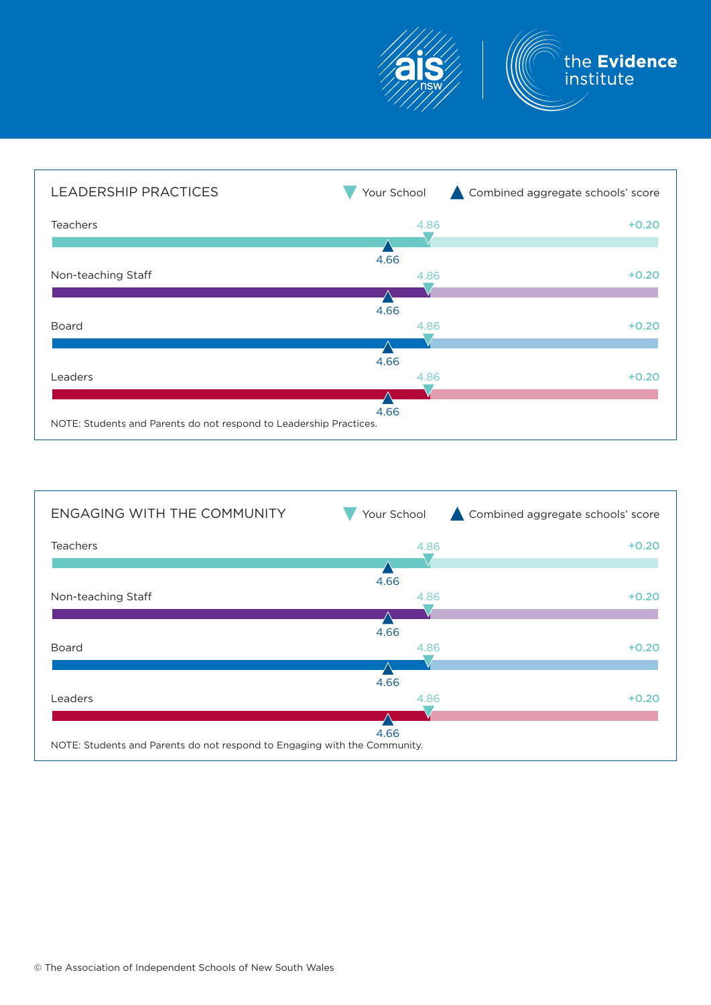



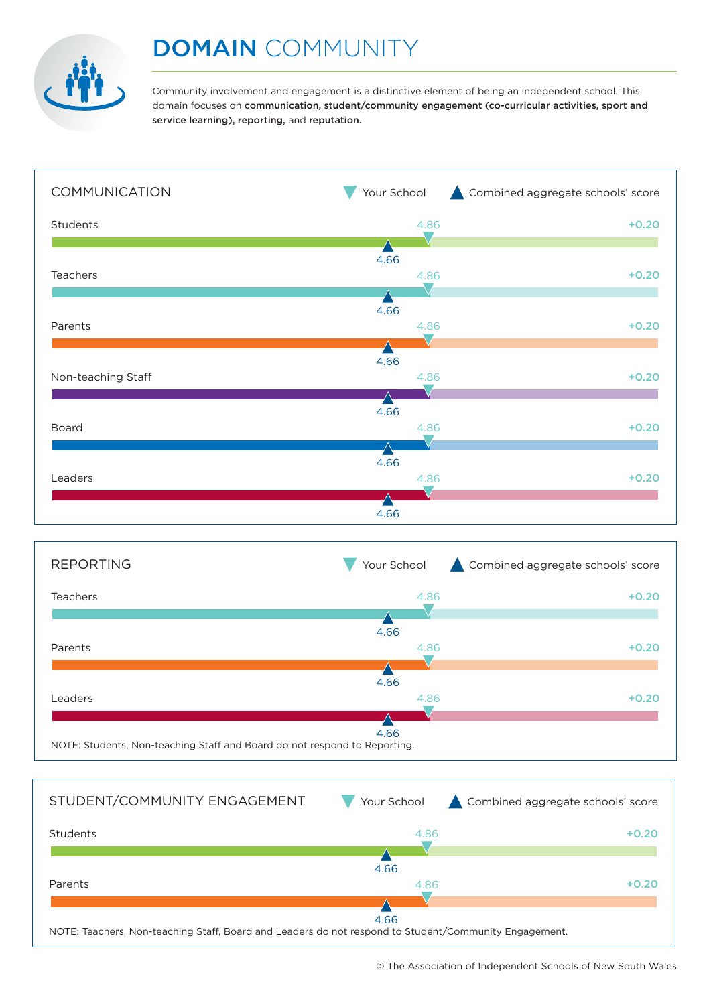

Community involvement and engagement is a distinctive element of being an independent school. This domain focuses on communication, student/community engagement (co-curricular activities, sport and service learning), reporting, and reputation.